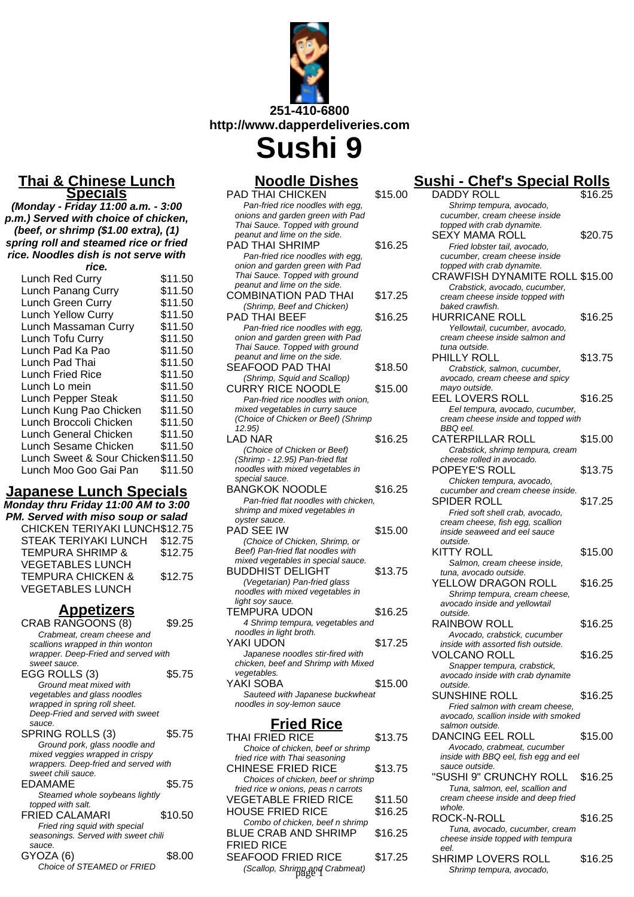

**Sushi 9**

| <b>Noodle Dishes</b>                                                   |         |
|------------------------------------------------------------------------|---------|
| <b>PAD THAI CHICKEN</b>                                                | \$15.00 |
| Pan-fried rice noodles with egg.<br>onions and garden green with Pad   |         |
| Thai Sauce. Topped with ground                                         |         |
| peanut and lime on the side.                                           |         |
| PAD THAI SHRIMP                                                        | \$16.25 |
| Pan-fried rice noodles with egg,                                       |         |
| onion and garden green with Pad<br>Thai Sauce. Topped with ground      |         |
| peanut and lime on the side.                                           |         |
| <b>COMBINATION PAD THAI</b>                                            | \$17.25 |
| (Shrimp, Beef and Chicken)                                             |         |
| PAD THAI BEEF                                                          | \$16.25 |
| Pan-fried rice noodles with egg,                                       |         |
| onion and garden green with Pad<br>Thai Sauce. Topped with ground      |         |
| peanut and lime on the side.                                           |         |
| <b>SEAFOOD PAD THAI</b>                                                | \$18.50 |
| (Shrimp, Squid and Scallop)                                            |         |
| <b>CURRY RICE NOODLE</b>                                               | \$15.00 |
| Pan-fried rice noodles with onion.                                     |         |
| mixed vegetables in curry sauce<br>(Choice of Chicken or Beef) (Shrimp |         |
| 12.95)                                                                 |         |
| LAD NAR                                                                | \$16.25 |
| (Choice of Chicken or Beef)                                            |         |
| (Shrimp - 12.95) Pan-fried flat                                        |         |
| noodles with mixed vegetables in<br>special sauce.                     |         |
| BANGKOK NOODLE                                                         | \$16.25 |
| Pan-fried flat noodles with chicken,                                   |         |
| shrimp and mixed vegetables in                                         |         |
| oyster sauce.                                                          |         |
| PAD SEE IW<br>(Choice of Chicken, Shrimp, or                           | \$15.00 |
| Beef) Pan-fried flat noodles with                                      |         |
| mixed vegetables in special sauce.                                     |         |
| BUDDHIST DELIGHT                                                       | \$13.75 |
| (Vegetarian) Pan-fried glass                                           |         |
| noodles with mixed vegetables in                                       |         |
| light soy sauce.<br>TEMPURA UDON                                       | \$16.25 |
| 4 Shrimp tempura, vegetables and                                       |         |
| noodles in light broth.                                                |         |
| YAKI UDON                                                              | \$17.25 |
| Japanese noodles stir-fired with                                       |         |
| chicken, beef and Shrimp with Mixed<br>vegetables.                     |         |
| YAKI SOBA                                                              | \$15.00 |
| Sauteed with Japanese buckwheat                                        |         |
| noodles in soy-lemon sauce                                             |         |
|                                                                        |         |
| <u>Fried Rice</u>                                                      |         |
| <b>THAI FRIED RICE</b>                                                 | \$13.75 |
| Choice of chicken, beef or shrimp                                      |         |

| THAI FRIED RICE                     | \$13.75 | DANUING EEL KULL                                          |
|-------------------------------------|---------|-----------------------------------------------------------|
| Choice of chicken, beef or shrimp   |         | Avocado, crabmeat, cucun                                  |
| fried rice with Thai seasoning      |         | inside with BBQ eel, fish egg                             |
| <b>CHINESE FRIED RICE</b>           | \$13.75 | sauce outside.                                            |
| Choices of chicken, beef or shrimp  |         | "SUSHI 9" CRUNCHY RO                                      |
| fried rice w onions, peas n carrots |         | Tuna, salmon, eel, scallion                               |
| <b>VEGETABLE FRIED RICE</b>         | \$11.50 | cream cheese inside and dee                               |
| <b>HOUSE FRIED RICE</b>             | \$16.25 | whole.                                                    |
| Combo of chicken, beef n shrimp     |         | ROCK-N-ROLL                                               |
| <b>BLUE CRAB AND SHRIMP</b>         | \$16.25 | Tuna, avocado, cucumber,<br>cheese inside topped with tel |
| <b>FRIED RICE</b>                   |         | eel.                                                      |
| <b>SEAFOOD FRIED RICE</b>           | \$17.25 | <b>SHRIMP LOVERS ROLL</b>                                 |
|                                     |         | Shrimp tempura, avocado,                                  |
| (Scallop, Shrimp and Crabmeat)      |         |                                                           |

# **Sushi - Chef's Special Rolls**

| DADDY ROLL                                                            | \$16.25 |
|-----------------------------------------------------------------------|---------|
| Shrimp tempura, avocado,                                              |         |
| cucumber, cream cheese inside                                         |         |
| topped with crab dynamite.                                            |         |
| SEXY MAMA ROLL                                                        | \$20.75 |
| Fried lobster tail, avocado,<br>cucumber, cream cheese inside         |         |
| topped with crab dynamite.                                            |         |
| <b>CRAWFISH DYNAMITE ROLL \$15.00</b>                                 |         |
| Crabstick, avocado, cucumber,                                         |         |
| cream cheese inside topped with                                       |         |
| baked crawfish.                                                       |         |
| <b>HURRICANE ROLL</b>                                                 | \$16.25 |
| Yellowtail, cucumber, avocado,                                        |         |
| cream cheese inside salmon and                                        |         |
| tuna outside.                                                         |         |
| PHILLY ROLL                                                           | \$13.75 |
| Crabstick, salmon, cucumber,                                          |         |
| avocado, cream cheese and spicy<br>mayo outside.                      |         |
| EEL LOVERS ROLL                                                       | \$16.25 |
| Eel tempura, avocado, cucumber,                                       |         |
| cream cheese inside and topped with                                   |         |
| BBQ eel.                                                              |         |
| CATERPILLAR ROLL                                                      | \$15.00 |
| Crabstick, shrimp tempura, cream                                      |         |
| cheese rolled in avocado.                                             |         |
| POPEYE'S ROLL                                                         | \$13.75 |
| Chicken tempura, avocado,                                             |         |
| cucumber and cream cheese inside.                                     |         |
| SPIDER ROLL                                                           | \$17.25 |
| Fried soft shell crab, avocado,                                       |         |
| cream cheese, fish egg, scallion<br>inside seaweed and eel sauce      |         |
| outside.                                                              |         |
| KITTY ROLL                                                            | \$15.00 |
| Salmon, cream cheese inside,                                          |         |
| tuna, avocado outside.                                                |         |
| YELLOW DRAGON ROLL                                                    | \$16.25 |
| Shrimp tempura, cream cheese,                                         |         |
| avocado inside and yellowtail                                         |         |
| outside.                                                              |         |
| RAINBOW ROLL                                                          | \$16.25 |
| Avocado, crabstick, cucumber<br>inside with assorted fish outside.    |         |
| <b>VOLCANO ROLL</b>                                                   | \$16.25 |
| Snapper tempura, crabstick,                                           |         |
| avocado inside with crab dynamite                                     |         |
| outside.                                                              |         |
| <b>SUNSHINE ROLL</b>                                                  | \$16.25 |
| Fried salmon with cream cheese,                                       |         |
| avocado, scallion inside with smoked                                  |         |
| salmon outside.                                                       |         |
| <b>DANCING EEL ROLL</b>                                               |         |
| Avocado, crabmeat, cucumber<br>inside with BBQ eel, fish egg and eel  | \$15.00 |
|                                                                       |         |
|                                                                       |         |
| sauce outside.                                                        |         |
| "SUSHI 9" CRUNCHY ROLL                                                | \$16.25 |
| Tuna, salmon, eel, scallion and<br>cream cheese inside and deep fried |         |
| whole.                                                                |         |
| ROCK-N-ROLL                                                           | \$16.25 |
| Tuna, avocado, cucumber, cream                                        |         |
| cheese inside topped with tempura                                     |         |
| eel.                                                                  |         |
| SHRIMP LOVERS ROLL<br>Shrimp tempura, avocado,                        | \$16.25 |

## **Thai & Chinese Lunch Specials**

**(Monday - Friday 11:00 a.m. - 3:00 p.m.) Served with choice of chicken, (beef, or shrimp (\$1.00 extra), (1) spring roll and steamed rice or fried rice. Noodles dish is not serve with**

| rice.                              |         |  |
|------------------------------------|---------|--|
| Lunch Red Curry                    | \$11.50 |  |
| Lunch Panang Curry                 | \$11.50 |  |
| Lunch Green Curry                  | \$11.50 |  |
| <b>Lunch Yellow Curry</b>          | \$11.50 |  |
| Lunch Massaman Curry               | \$11.50 |  |
| Lunch Tofu Curry                   | \$11.50 |  |
| Lunch Pad Ka Pao                   | \$11.50 |  |
| Lunch Pad Thai                     | \$11.50 |  |
| Lunch Fried Rice                   | \$11.50 |  |
| Lunch Lo mein                      | \$11.50 |  |
| Lunch Pepper Steak                 | \$11.50 |  |
| Lunch Kung Pao Chicken             | \$11.50 |  |
| Lunch Broccoli Chicken             | \$11.50 |  |
| Lunch General Chicken              | \$11.50 |  |
| Lunch Sesame Chicken               | \$11.50 |  |
| Lunch Sweet & Sour Chicken \$11.50 |         |  |
| Lunch Moo Goo Gai Pan              | \$11.50 |  |
|                                    |         |  |

# **Japanese Lunch Specials**

| Monday thru Friday 11:00 AM to 3:00 |
|-------------------------------------|
| PM. Served with miso soup or salad  |
| CHICKEN TERIYAKI LUNCH\$12.75       |
| \$12.75                             |
| \$12.75                             |
|                                     |
| \$12.75                             |
|                                     |
|                                     |

# **Appetizers**

| CRAB RANGOONS (8)                    | \$9.25  |
|--------------------------------------|---------|
| Crabmeat, cream cheese and           |         |
| scallions wrapped in thin wonton     |         |
| wrapper. Deep-Fried and served with  |         |
| sweet sauce.                         |         |
| EGG ROLLS (3)                        | \$5.75  |
| Ground meat mixed with               |         |
| vegetables and glass noodles         |         |
| wrapped in spring roll sheet.        |         |
| Deep-Fried and served with sweet     |         |
| sauce.                               |         |
| SPRING ROLLS (3)                     | \$5.75  |
| Ground pork, glass noodle and        |         |
| mixed veggies wrapped in crispy      |         |
| wrappers. Deep-fried and served with |         |
| sweet chili sauce.                   |         |
| EDAMAME                              | \$5.75  |
| Steamed whole soybeans lightly       |         |
| topped with salt.                    |         |
| FRIED CALAMARI                       | \$10.50 |
| Fried ring squid with special        |         |
| seasonings. Served with sweet chili  |         |
| sauce.                               |         |
| GYOZA (6)                            | \$8.00  |
| Choice of STEAMED or FRIED           |         |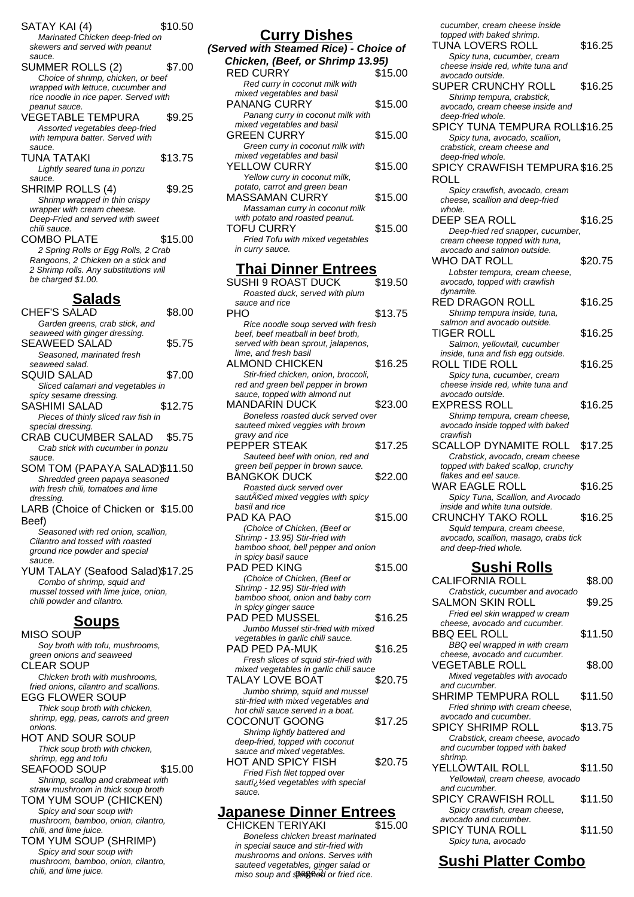SATAY KAI (4) \$10.50 Marinated Chicken deep-fried on skewers and served with peanut sauce. SUMMER ROLLS (2) \$7.00 Choice of shrimp, chicken, or beef wrapped with lettuce, cucumber and rice noodle in rice paper. Served with peanut sauce. VEGETABLE TEMPURA \$9.25 Assorted vegetables deep-fried with tempura batter. Served with sauce. TUNA TATAKI \$13.75 Lightly seared tuna in ponzu sauce. SHRIMP ROLLS (4) \$9.25 Shrimp wrapped in thin crispy wrapper with cream cheese. Deep-Fried and served with sweet chili sauce. COMBO PLATE \$15.00 2 Spring Rolls or Egg Rolls, 2 Crab Rangoons, 2 Chicken on a stick and 2 Shrimp rolls. Any substitutions will be charged \$1.00. **Salads**  $C \cup C \cup C \cap A \cap B$   $\downarrow$ 

| UHEF S SALAD                          | აგ.uu   |
|---------------------------------------|---------|
| Garden greens, crab stick, and        |         |
| seaweed with ginger dressing.         |         |
| SEAWEED SALAD                         | \$5.75  |
| Seasoned, marinated fresh             |         |
| seaweed salad.                        |         |
| <b>SQUID SALAD</b>                    | \$7.00  |
| Sliced calamari and vegetables in     |         |
| spicy sesame dressing.                |         |
| <b>SASHIMI SALAD</b>                  | \$12.75 |
| Pieces of thinly sliced raw fish in   |         |
| special dressing.                     |         |
| <b>CRAB CUCUMBER SALAD</b>            | \$5.75  |
| Crab stick with cucumber in ponzu     |         |
| sauce.                                |         |
| SOM TOM (PAPAYA SALAD)\$11.50         |         |
| Shredded green papaya seasoned        |         |
| with fresh chili, tomatoes and lime   |         |
| dressing.                             |         |
| LARB (Choice of Chicken or \$15.00    |         |
| Beef)                                 |         |
| Seasoned with red onion, scallion,    |         |
| Cilantro and tossed with roasted      |         |
| ground rice powder and special        |         |
| sauce.                                |         |
| YUM TALAY (Seafood Salad)\$17.25      |         |
| Combo of shrimp, squid and            |         |
| mussel tossed with lime juice, onion, |         |
| chili powder and cilantro.            |         |
|                                       |         |
| <u>Soups</u>                          |         |
| MISO SOUP                             |         |
| Soy broth with tofu, mushrooms,       |         |

green onions and seaweed CLEAR SOUP Chicken broth with mushrooms, fried onions, cilantro and scallions. EGG FLOWER SOUP Thick soup broth with chicken, shrimp, egg, peas, carrots and green onions. HOT AND SOUR SOUP Thick soup broth with chicken, shrimp, egg and tofu SEAFOOD SOUP \$15.00 Shrimp, scallop and crabmeat with straw mushroom in thick soup broth TOM YUM SOUP (CHICKEN) Spicy and sour soup with mushroom, bamboo, onion, cilantro, chili, and lime juice. TOM YUM SOUP (SHRIMP) Spicy and sour soup with mushroom, bamboo, onion, cilantro,

chili, and lime juice.

| <b>Curry Dishes</b>                    |         |
|----------------------------------------|---------|
| (Served with Steamed Rice) - Choice of |         |
| Chicken, (Beef, or Shrimp 13.95)       |         |
| <b>RED CURRY</b>                       | \$15.00 |
| Red curry in coconut milk with         |         |
| mixed vegetables and basil             |         |
| <b>PANANG CURRY</b>                    | \$15.00 |
| Panang curry in coconut milk with      |         |
| mixed vegetables and basil             |         |
| <b>GREEN CURRY</b>                     | \$15.00 |
| Green curry in coconut milk with       |         |
| mixed vegetables and basil             |         |
| YELLOW CURRY                           | \$15.00 |
| Yellow curry in coconut milk,          |         |
| potato, carrot and green bean          |         |
| MASSAMAN CURRY                         | \$15.00 |
| Massaman curry in coconut milk         |         |
| with potato and roasted peanut.        |         |
| TOFU CURRY                             | \$15.00 |
| Fried Tofu with mixed vegetables       |         |
| in curry sauce.                        |         |
| <b>Thai Dinner Entrees</b>             |         |

| דווםו <b>שוווופו בוונו</b> פפ          |         |
|----------------------------------------|---------|
| <b>SUSHI 9 ROAST DUCK</b>              | \$19.50 |
| Roasted duck, served with plum         |         |
| sauce and rice                         |         |
| PHO                                    | \$13.75 |
| Rice noodle soup served with fresh     |         |
| beef, beef meatball in beef broth,     |         |
| served with bean sprout, jalapenos,    |         |
| lime, and fresh basil                  |         |
| <b>ALMOND CHICKEN</b>                  | \$16.25 |
| Stir-fried chicken, onion, broccoli,   |         |
| red and green bell pepper in brown     |         |
| sauce, topped with almond nut          |         |
| <b>MANDARIN DUCK</b>                   | \$23.00 |
| Boneless roasted duck served over      |         |
| sauteed mixed veggies with brown       |         |
| gravy and rice                         |         |
| PEPPER STEAK                           | \$17.25 |
| Sauteed beef with onion, red and       |         |
| green bell pepper in brown sauce.      |         |
| <b>BANGKOK DUCK</b>                    | \$22.00 |
| Roasted duck served over               |         |
| sautACed mixed veggies with spicy      |         |
| basil and rice                         |         |
| PAD KA PAO                             | \$15.00 |
| (Choice of Chicken, (Beef or           |         |
| Shrimp - 13.95) Stir-fried with        |         |
| bamboo shoot, bell pepper and onion    |         |
| in spicy basil sauce                   |         |
| PAD PED KING                           | \$15.00 |
| (Choice of Chicken, (Beef or           |         |
| Shrimp - 12.95) Stir-fried with        |         |
| bamboo shoot, onion and baby corn      |         |
| in spicy ginger sauce                  |         |
| <b>PAD PED MUSSEL</b>                  | \$16.25 |
| Jumbo Mussel stir-fried with mixed     |         |
| vegetables in garlic chili sauce.      |         |
| <b>PAD PED PA-MUK</b>                  | \$16.25 |
| Fresh slices of squid stir-fried with  |         |
| mixed vegetables in garlic chili sauce |         |
| <b>TALAY LOVE BOAT</b>                 | \$20.75 |
| Jumbo shrimp, squid and mussel         |         |
| stir-fried with mixed vegetables and   |         |
| hot chili sauce served in a boat.      |         |
| COCONUT GOONG                          | \$17.25 |
| Shrimp lightly battered and            |         |
| deep-fried, topped with coconut        |         |
| sauce and mixed vegetables.            |         |
| <b>HOT AND SPICY FISH</b>              | \$20.75 |
| Fried Fish filet topped over           |         |

### **Japanese Dinner Entrees**

sauti<sub>i</sub> 1/<sub>2</sub>ed vegetables with special

sauce.

CHICKEN TERIYAKI \$15.00 Boneless chicken breast marinated in special sauce and stir-fried with mushrooms and onions. Serves with sauteed vegetables, ginger salad or miso soup and steamed or fried rice.

cucumber, cream cheese inside topped with baked shrimp.

| topped with baked shrimp.                             |         |
|-------------------------------------------------------|---------|
| TUNA LOVERS ROLL                                      | \$16.25 |
| Spicy tuna, cucumber, cream                           |         |
| cheese inside red, white tuna and<br>avocado outside. |         |
|                                                       |         |
| SUPER CRUNCHY ROLL                                    | \$16.25 |
| Shrimp tempura, crabstick,                            |         |
| avocado, cream cheese inside and                      |         |
| deep-fried whole.                                     |         |
| SPICY TUNA TEMPURA ROLL\$16.25                        |         |
| Spicy tuna, avocado, scallion,                        |         |
| crabstick, cream cheese and                           |         |
| deep-fried whole.                                     |         |
| SPICY CRAWFISH TEMPURA \$16.25                        |         |
| ROLL                                                  |         |
| Spicy crawfish, avocado, cream                        |         |
| cheese, scallion and deep-fried                       |         |
| whole.                                                |         |
| <b>DEEP SEA ROLL</b>                                  | \$16.25 |
| Deep-fried red snapper, cucumber,                     |         |
| cream cheese topped with tuna,                        |         |
| avocado and salmon outside.                           |         |
| <b>WHO DAT ROLL</b>                                   | \$20.75 |
| Lobster tempura, cream cheese,                        |         |
| avocado, topped with crawfish                         |         |
| dynamite.                                             |         |
| RED DRAGON ROLL                                       | \$16.25 |
| Shrimp tempura inside, tuna,                          |         |
| salmon and avocado outside.                           |         |
| TIGER ROLL                                            | \$16.25 |
| Salmon, yellowtail, cucumber                          |         |
| inside, tuna and fish egg outside.                    |         |
| ROLL TIDE ROLL                                        | \$16.25 |
| Spicy tuna, cucumber, cream                           |         |
| cheese inside red, white tuna and                     |         |
| avocado outside.                                      |         |
| EXPRESS ROLL                                          | \$16.25 |
| Shrimp tempura, cream cheese,                         |         |
| avocado inside topped with baked                      |         |
| crawfish                                              |         |
| SCALLOP DYNAMITE ROLL                                 | \$17.25 |
| Crabstick, avocado, cream cheese                      |         |
| topped with baked scallop, crunchy                    |         |
| flakes and eel sauce.                                 |         |
| WAR EAGLE ROLL                                        | \$16.25 |
| Spicy Tuna, Scallion, and Avocado                     |         |
| inside and white tuna outside.                        |         |
| <b>CRUNCHY TAKO ROLL</b>                              | \$16.25 |
| Squid tempura, cream cheese,                          |         |
| avocado, scallion, masago, crabs tick                 |         |
| and deep-fried whole.                                 |         |
|                                                       |         |
| <u>Sushi Rolls</u>                                    |         |
| <b>CALIFORNIA ROLL</b>                                | \$8.00  |
| Crabstick, cucumber and avocado                       |         |
| <b>SALMON SKIN ROLL</b>                               | \$9.25  |
| Fried eel skin wrapped w cream                        |         |
| cheese, avocado and cucumber.                         |         |
| <b>BBQ EEL ROLL</b>                                   | \$11.50 |
| BBQ eel wrapped in with cream                         |         |
| cheese, avocado and cucumber.                         |         |
| <b>VEGETABLE ROLL</b>                                 | \$8.00  |
|                                                       |         |

Mixed vegetables with avocado and cucumber. SHRIMP TEMPURA ROLL \$11.50 Fried shrimp with cream cheese, avocado and cucumber. SPICY SHRIMP ROLL \$13.75 Crabstick, cream cheese, avocado and cucumber topped with baked shrimp. YELLOWTAIL ROLL \$11.50 Yellowtail, cream cheese, avocado and cucumber. SPICY CRAWFISH ROLL \$11.50

#### Spicy crawfish, cream cheese, avocado and cucumber. SPICY TUNA ROLL \$11.50 Spicy tuna, avocado

# **Sushi Platter Combo**